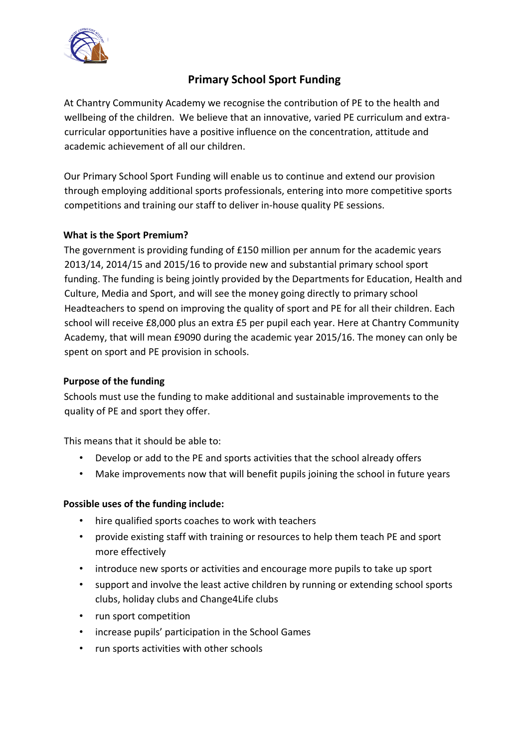

## **Primary School Sport Funding**

At Chantry Community Academy we recognise the contribution of PE to the health and wellbeing of the children. We believe that an innovative, varied PE curriculum and extracurricular opportunities have a positive influence on the concentration, attitude and academic achievement of all our children.

Our Primary School Sport Funding will enable us to continue and extend our provision through employing additional sports professionals, entering into more competitive sports competitions and training our staff to deliver in-house quality PE sessions.

### **What is the Sport Premium?**

The government is providing funding of £150 million per annum for the academic years 2013/14, 2014/15 and 2015/16 to provide new and substantial primary school sport funding. The funding is being jointly provided by the Departments for Education, Health and Culture, Media and Sport, and will see the money going directly to primary school Headteachers to spend on improving the quality of sport and PE for all their children. Each school will receive £8,000 plus an extra £5 per pupil each year. Here at Chantry Community Academy, that will mean £9090 during the academic year 2015/16. The money can only be spent on sport and PE provision in schools.

#### **Purpose of the funding**

Schools must use the funding to make additional and sustainable improvements to the quality of PE and sport they offer.

This means that it should be able to:

- Develop or add to the PE and sports activities that the school already offers
- Make improvements now that will benefit pupils joining the school in future years

#### **Possible uses of the funding include:**

- hire qualified sports coaches to work with teachers
- provide existing staff with training or resources to help them teach PE and sport more effectively
- introduce new sports or activities and encourage more pupils to take up sport
- support and involve the least active children by running or extending school sports clubs, holiday clubs and Change4Life clubs
- run sport competition
- increase pupils' participation in the School Games
- run sports activities with other schools